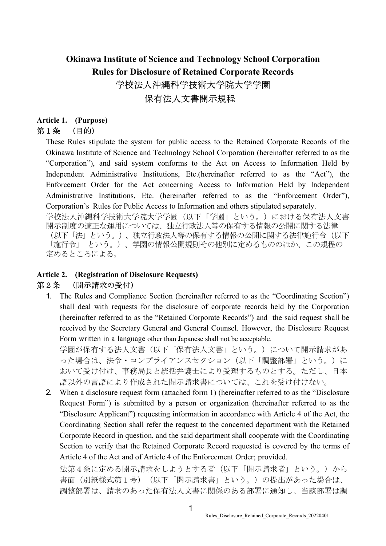## Okinawa Institute of Science and Technology School Corporation Rules for Disclosure of Retained Corporate Records 学校法人沖縄科学技術大学院大学学園 保有法人文書開示規程

#### Article 1. (Purpose) 第1条 (目的)

These Rules stipulate the system for public access to the Retained Corporate Records of the Okinawa Institute of Science and Technology School Corporation (hereinafter referred to as the "Corporation"), and said system conforms to the Act on Access to Information Held by Independent Administrative Institutions, Etc.(hereinafter referred to as the "Act"), the Enforcement Order for the Act concerning Access to Information Held by Independent Administrative Institutions, Etc. (hereinafter referred to as the "Enforcement Order"), Corporation's Rules for Public Access to Information and others stipulated separately.

学校法人沖縄科学技術大学院大学学園(以下「学園」という。)における保有法人文書 開示制度の適正な運用については、独立行政法人等の保有する情報の公開に関する法律 (以下「法」という。)、独立行政法人等の保有する情報の公開に関する法律施行令(以下 「施行令」 という。)、学園の情報公開規則その他別に定めるもののほか、この規程の 定めるところによる。

#### Article 2. (Registration of Disclosure Requests) 第2条 (開示請求の受付)

1. The Rules and Compliance Section (hereinafter referred to as the "Coordinating Section") shall deal with requests for the disclosure of corporate records held by the Corporation (hereinafter referred to as the "Retained Corporate Records") and the said request shall be received by the Secretary General and General Counsel. However, the Disclosure Request Form written in a language other than Japanese shall not be acceptable.

学園が保有する法人文書(以下「保有法人文書」という。)について開示請求があ った場合は、法令・コンプライアンスセクション(以下「調整部署」という。)に おいて受け付け、事務局長と統括弁護士により受理するものとする。ただし、日本 語以外の言語により作成された開示請求書については、これを受け付けない。

2. When a disclosure request form (attached form 1) (hereinafter referred to as the "Disclosure Request Form") is submitted by a person or organization (hereinafter referred to as the "Disclosure Applicant") requesting information in accordance with Article 4 of the Act, the Coordinating Section shall refer the request to the concerned department with the Retained Corporate Record in question, and the said department shall cooperate with the Coordinating Section to verify that the Retained Corporate Record requested is covered by the terms of Article 4 of the Act and of Article 4 of the Enforcement Order; provided.

法第4条に定める開示請求をしようとする者(以下「開示請求者」という。)から 書面(別紙様式第1号) (以下「開示請求書」という。)の提出があった場合は、 調整部署は、請求のあった保有法人文書に関係のある部署に通知し、当該部署は調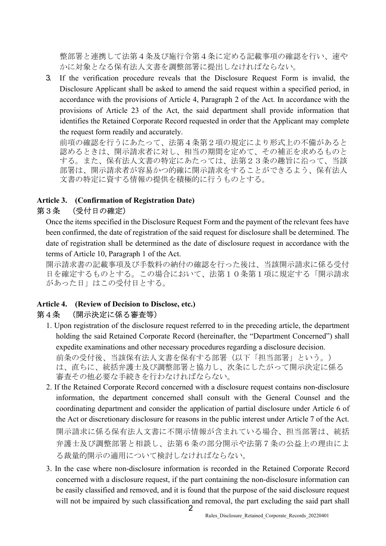整部署と連携して法第4条及び施行令第4条に定める記載事項の確認を行い、速や かに対象となる保有法人文書を調整部署に提出しなければならない。

3. If the verification procedure reveals that the Disclosure Request Form is invalid, the Disclosure Applicant shall be asked to amend the said request within a specified period, in accordance with the provisions of Article 4, Paragraph 2 of the Act. In accordance with the provisions of Article 23 of the Act, the said department shall provide information that identifies the Retained Corporate Record requested in order that the Applicant may complete the request form readily and accurately.

前項の確認を行うにあたって、法第4条第2項の規定により形式上の不備があると 認めるときは、開示請求者に対し、相当の期間を定めて、その補正を求めるものと する。また、保有法人文書の特定にあたっては、法第23条の趣旨に沿って、当該 部署は、開示請求者が容易かつ的確に開示請求をすることができるよう、保有法人 文書の特定に資する情報の提供を積極的に行うものとする。

#### Article 3. (Confirmation of Registration Date) 第3条 (受付日の確定)

Once the items specified in the Disclosure Request Form and the payment of the relevant fees have been confirmed, the date of registration of the said request for disclosure shall be determined. The date of registration shall be determined as the date of disclosure request in accordance with the terms of Article 10, Paragraph 1 of the Act.

開示請求書の記載事項及び手数料の納付の確認を行った後は、当該開示請求に係る受付 日を確定するものとする。この場合において、法第10条第1項に規定する「開示請求 があった日」はこの受付日とする。

# Article 4. (Review of Decision to Disclose, etc.)

### 第4条 (開示決定に係る審査等)

- 1. Upon registration of the disclosure request referred to in the preceding article, the department holding the said Retained Corporate Record (hereinafter, the "Department Concerned") shall expedite examinations and other necessary procedures regarding a disclosure decision. 前条の受付後、当該保有法人文書を保有する部署(以下「担当部署」という。) は、直ちに、統括弁護士及び調整部署と協力し、次条にしたがって開示決定に係る 審査その他必要な手続きを行わなければならない。
- 2. If the Retained Corporate Record concerned with a disclosure request contains non-disclosure information, the department concerned shall consult with the General Counsel and the coordinating department and consider the application of partial disclosure under Article 6 of the Act or discretionary disclosure for reasons in the public interest under Article 7 of the Act. 開示請求に係る保有法人文書に不開示情報が含まれている場合、担当部署は、統括 弁護士及び調整部署と相談し、法第6条の部分開示や法第7条の公益上の理由によ る裁量的開示の適用について検討しなければならない。
- 2 3. In the case where non-disclosure information is recorded in the Retained Corporate Record concerned with a disclosure request, if the part containing the non-disclosure information can be easily classified and removed, and it is found that the purpose of the said disclosure request will not be impaired by such classification and removal, the part excluding the said part shall

Rules\_Disclosure\_Retained\_Corporate\_Records\_20220401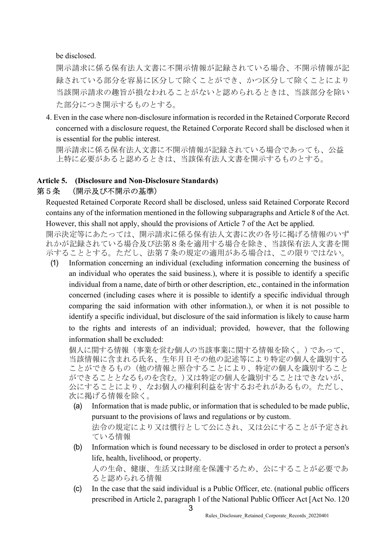be disclosed.

開示請求に係る保有法人文書に不開示情報が記録されている場合、不開示情報が記 録されている部分を容易に区分して除くことができ、かつ区分して除くことにより 当該開示請求の趣旨が損なわれることがないと認められるときは、当該部分を除い た部分につき開示するものとする。

4. Even in the case where non-disclosure information is recorded in the Retained Corporate Record concerned with a disclosure request, the Retained Corporate Record shall be disclosed when it is essential for the public interest.

開示請求に係る保有法人文書に不開示情報が記録されている場合であっても、公益 上特に必要があると認めるときは、当該保有法人文書を開示するものとする。

#### Article 5. (Disclosure and Non-Disclosure Standards) 第5条 (開示及び不開示の基準)

ると認められる情報

Requested Retained Corporate Record shall be disclosed, unless said Retained Corporate Record contains any of the information mentioned in the following subparagraphs and Article 8 of the Act. However, this shall not apply, should the provisions of Article 7 of the Act be applied.

開示決定等にあたっては、開示請求に係る保有法人文書に次の各号に掲げる情報のいず れかが記録されている場合及び法第8条を適用する場合を除き、当該保有法人文書を開 示することとする。ただし、法第7条の規定の適用がある場合は、この限りではない。

(1) Information concerning an individual (excluding information concerning the business of an individual who operates the said business.), where it is possible to identify a specific individual from a name, date of birth or other description, etc., contained in the information concerned (including cases where it is possible to identify a specific individual through comparing the said information with other information.), or when it is not possible to identify a specific individual, but disclosure of the said information is likely to cause harm to the rights and interests of an individual; provided, however, that the following information shall be excluded:

個人に関する情報(事業を営む個人の当該事業に関する情報を除く。)であって、 当該情報に含まれる氏名、生年月日その他の記述等により特定の個人を識別する ことができるもの(他の情報と照合することにより、特定の個人を識別すること ができることとなるものを含む。)又は特定の個人を識別することはできないが、 公にすることにより、なお個人の権利利益を害するおそれがあるもの。ただし、 次に掲げる情報を除く。

- (a) Information that is made public, or information that is scheduled to be made public, pursuant to the provisions of laws and regulations or by custom. 法令の規定により又は慣行として公にされ、又は公にすることが予定され ている情報
- (b) Information which is found necessary to be disclosed in order to protect a person's life, health, livelihood, or property. 人の生命、健康、生活又は財産を保護するため、公にすることが必要であ
- (c) In the case that the said individual is a Public Officer, etc. (national public officers prescribed in Article 2, paragraph 1 of the National Public Officer Act [Act No. 120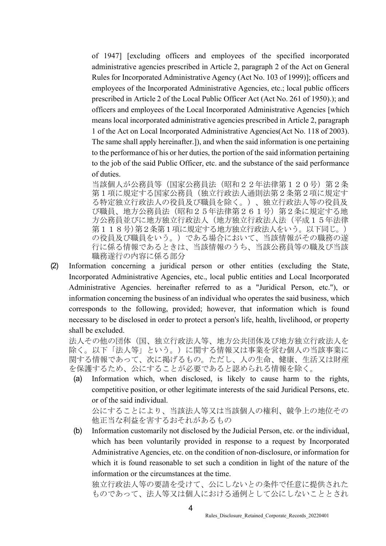of 1947] [excluding officers and employees of the specified incorporated administrative agencies prescribed in Article 2, paragraph 2 of the Act on General Rules for Incorporated Administrative Agency (Act No. 103 of 1999)]; officers and employees of the Incorporated Administrative Agencies, etc.; local public officers prescribed in Article 2 of the Local Public Officer Act (Act No. 261 of 1950).); and officers and employees of the Local Incorporated Administrative Agencies [which means local incorporated administrative agencies prescribed in Article 2, paragraph 1 of the Act on Local Incorporated Administrative Agencies(Act No. 118 of 2003). The same shall apply hereinafter.]), and when the said information is one pertaining to the performance of his or her duties, the portion of the said information pertaining to the job of the said Public Officer, etc. and the substance of the said performance of duties.

当該個人が公務員等(国家公務員法(昭和22年法律第120号)第2条 第1項に規定する国家公務員(独立行政法人通則法第2条第2項に規定す る特定独立行政法人の役員及び職員を除く。)、独立行政法人等の役員及 び職員、地方公務員法(昭和25年法律第261号)第2条に規定する地 方公務員並びに地方独立人、(地方独立行政法人法(平成15年法律 第118号)第2条第1項に規定する地方独立行政法人をいう。以下同じ。) の役員及び職員をいう。)である場合において、当該情報がその職務の遂 行に係る情報であるときは、当該情報のうち、当該公務員等の職及び当該 職務遂行の内容に係る部分

(2) Information concerning a juridical person or other entities (excluding the State, Incorporated Administrative Agencies, etc., local public entities and Local Incorporated Administrative Agencies. hereinafter referred to as a "Juridical Person, etc."), or information concerning the business of an individual who operates the said business, which corresponds to the following, provided; however, that information which is found necessary to be disclosed in order to protect a person's life, health, livelihood, or property shall be excluded.

法人その他の団体(国、独立行政法人等、地方公共団体及び地方独立行政法人を 除く。以下「法人等」という。)に関する情報又は事業を営む個人の当該事業に 関する情報であって、次に掲げるもの。ただし、人の生命、健康、生活又は財産 を保護するため、公にすることが必要であると認められる情報を除く。

(a) Information which, when disclosed, is likely to cause harm to the rights, competitive position, or other legitimate interests of the said Juridical Persons, etc. or of the said individual.

公にすることにより、当該法人等又は当該個人の権利、競争上の地位その 他正当な利益を害するおそれがあるもの

(b) Information customarily not disclosed by the Judicial Person, etc. or the individual, which has been voluntarily provided in response to a request by Incorporated Administrative Agencies, etc. on the condition of non-disclosure, or information for which it is found reasonable to set such a condition in light of the nature of the information or the circumstances at the time.

独立行政法人等の要請を受けて、公にしないとの条件で任意に提供された ものであって、法人等又は個人における通例として公にしないこととされ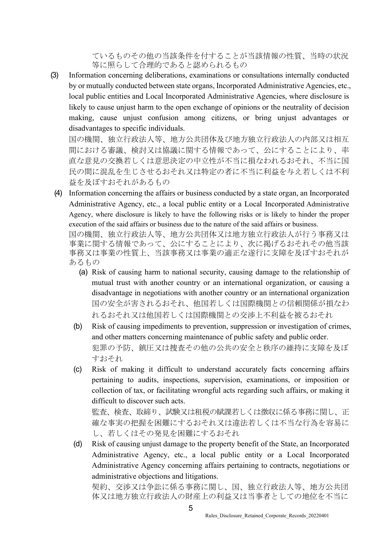ているものその他の当該条件を付することが当該情報の性質、当時の状況 等に照らして合理的であると認められるもの

(3) Information concerning deliberations, examinations or consultations internally conducted by or mutually conducted between state organs, Incorporated Administrative Agencies, etc., local public entities and Local Incorporated Administrative Agencies, where disclosure is likely to cause unjust harm to the open exchange of opinions or the neutrality of decision making, cause unjust confusion among citizens, or bring unjust advantages or disadvantages to specific individuals.

国の機関、独立行政法人等、地方公共団体及び地方独立行政法人の内部又は相互 間における審議、検討又は協議に関する情報であって、公にすることにより、率 直な意見の交換若しくは意思決定の中立性が不当に損なわれるおそれ、不当に国 民の間に混乱を生じさせるおそれ又は特定の者に不当に利益を与え若しくは不利 益を及ぼすおそれがあるもの

(4) Information concerning the affairs or business conducted by a state organ, an Incorporated Administrative Agency, etc., a local public entity or a Local Incorporated Administrative Agency, where disclosure is likely to have the following risks or is likely to hinder the proper execution of the said affairs or business due to the nature of the said affairs or business.

国の機関、独立行政法人等、地方公共団体又は地方独立行政法人が行う事務又は 事業に関する情報であって、公にすることにより、次に掲げるおそれその他当該 事務又は事業の性質上、当該事務又は事業の適正な遂行に支障を及ぼすおそれが あるもの

- (a) Risk of causing harm to national security, causing damage to the relationship of mutual trust with another country or an international organization, or causing a disadvantage in negotiations with another country or an international organization 国の安全が害されるおそれ、他国若しくは国際機関との信頼関係が損なわ れるおそれ又は他国若しくは国際機関との交渉上不利益を被るおそれ
- (b) Risk of causing impediments to prevention, suppression or investigation of crimes, and other matters concerning maintenance of public safety and public order. 犯罪の予防、鎮圧又は捜査その他の公共の安全と秩序の維持に支障を及ぼ すおそれ
- (c) Risk of making it difficult to understand accurately facts concerning affairs pertaining to audits, inspections, supervision, examinations, or imposition or collection of tax, or facilitating wrongful acts regarding such affairs, or making it difficult to discover such acts.

監査、検査、取締り、試験又は租税の賦課若しくは徴収に係る事務に関し、正 確な事実の把握を困難にするおそれ又は違法若しくは不当な行為を容易に し、若しくはその発見を困難にするおそれ

(d) Risk of causing unjust damage to the property benefit of the State, an Incorporated Administrative Agency, etc., a local public entity or a Local Incorporated Administrative Agency concerning affairs pertaining to contracts, negotiations or administrative objections and litigations.

契約、交渉又は争訟に係る事務に関し、国、独立行政法人等、地方公共団 体又は地方独立行政法人の財産上の利益又は当事者としての地位を不当に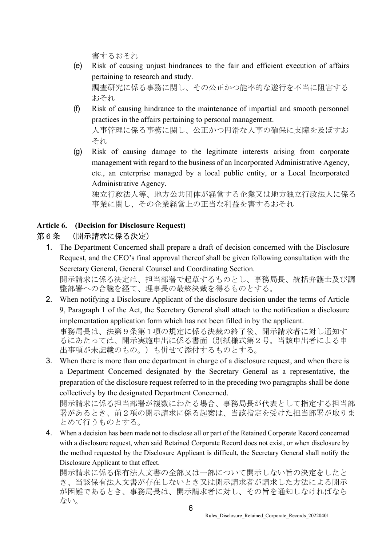害するおそれ

- (e) Risk of causing unjust hindrances to the fair and efficient execution of affairs pertaining to research and study. 調査研究に係る事務に関し、その公正かつ能率的な遂行を不当に阻害する おそれ
- (f) Risk of causing hindrance to the maintenance of impartial and smooth personnel practices in the affairs pertaining to personal management. 人事管理に係る事務に関し、公正かつ円滑な人事の確保に支障を及ぼすお それ
- (g) Risk of causing damage to the legitimate interests arising from corporate management with regard to the business of an Incorporated Administrative Agency, etc., an enterprise managed by a local public entity, or a Local Incorporated Administrative Agency.

独立行政法人等、地方公共団体が経営する企業又は地方独立行政法人に係る 事業に関し、その企業経営上の正当な利益を害するおそれ

#### Article 6. (Decision for Disclosure Request)

## 第6条 (開示請求に係る決定)

1. The Department Concerned shall prepare a draft of decision concerned with the Disclosure Request, and the CEO's final approval thereof shall be given following consultation with the Secretary General, General Counsel and Coordinating Section.

開示請求に係る決定は、担当部署で起草するものとし、事務局長、統括弁護士及び調 整部署への合議を経て、理事長の最終決裁を得るものとする。

2. When notifying a Disclosure Applicant of the disclosure decision under the terms of Article 9, Paragraph 1 of the Act, the Secretary General shall attach to the notification a disclosure implementation application form which has not been filled in by the applicant. 事務局長は、法第9条第1項の規定に係る決裁の終了後、開示請求者に対し通知す るにあたっては、開示実施申出に係る書面(別紙様式第2号。当該申出者による申

出事項が未記載のもの。)も併せて添付するものとする。 3. When there is more than one department in charge of a disclosure request, and when there is a Department Concerned designated by the Secretary General as a representative, the preparation of the disclosure request referred to in the preceding two paragraphs shall be done collectively by the designated Department Concerned.

開示請求に係る担当部署が複数にわたる場合、事務局長が代表として指定する担当部 署があるとき、前2項の開示請求に係る起案は、当該指定を受けた担当部署が取りま とめて行うものとする。

4. When a decision has been made not to disclose all or part of the Retained Corporate Record concerned with a disclosure request, when said Retained Corporate Record does not exist, or when disclosure by the method requested by the Disclosure Applicant is difficult, the Secretary General shall notify the Disclosure Applicant to that effect.

開示請求に係る保有法人文書の全部又は一部について開示しない旨の決定をしたと き、当該保有法人文書が存在しないとき又は開示請求者が請求した方法による開示 が困難であるとき、事務局長は、開示請求者に対し、その旨を通知しなければなら ない。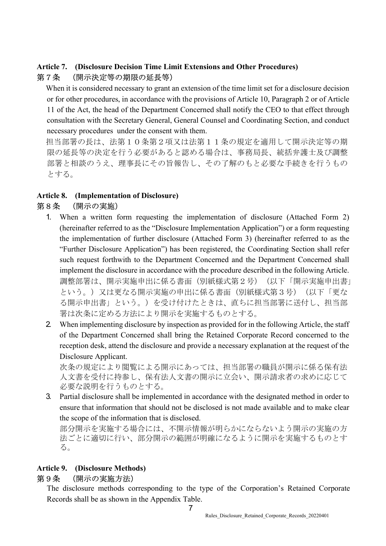### Article 7. (Disclosure Decision Time Limit Extensions and Other Procedures) 第7条 (開示決定等の期限の延長等)

When it is considered necessary to grant an extension of the time limit set for a disclosure decision or for other procedures, in accordance with the provisions of Article 10, Paragraph 2 or of Article 11 of the Act, the head of the Department Concerned shall notify the CEO to that effect through consultation with the Secretary General, General Counsel and Coordinating Section, and conduct necessary procedures under the consent with them.

担当部署の長は、法第10条第2項又は法第11条の規定を適用して開示決定等の期 限の延長等の決定を行う必要があると認める場合は、事務局長、統括弁護士及び調整 部署と相談のうえ、理事長にその旨報告し、その了解のもと必要な手続きを行うもの とする。

## Article 8. (Implementation of Disclosure)

## 第8条 (開示の実施)

- 1. When a written form requesting the implementation of disclosure (Attached Form 2) (hereinafter referred to as the "Disclosure Implementation Application") or a form requesting the implementation of further disclosure (Attached Form 3) (hereinafter referred to as the "Further Disclosure Application") has been registered, the Coordinating Section shall refer such request forthwith to the Department Concerned and the Department Concerned shall implement the disclosure in accordance with the procedure described in the following Article. 調整部署は、開示実施申出に係る書面(別紙様式第2号)(以下「開示実施申出書」 という。)又は更なる開示実施の申出に係る書面(別紙様式第3号)(以下「更な る開示申出書」という。)を受け付けたときは、直ちに担当部署に送付し、担当部 署は次条に定める方法により開示を実施するものとする。
- 2. When implementing disclosure by inspection as provided for in the following Article, the staff of the Department Concerned shall bring the Retained Corporate Record concerned to the reception desk, attend the disclosure and provide a necessary explanation at the request of the Disclosure Applicant.

次条の規定により閲覧による開示にあっては、担当部署の職員が開示に係る保有法 人文書を受付に持参し、保有法人文書の開示に立会い、開示請求者の求めに応じて 必要な説明を行うものとする。

3. Partial disclosure shall be implemented in accordance with the designated method in order to ensure that information that should not be disclosed is not made available and to make clear the scope of the information that is disclosed.

部分開示を実施する場合には、不開示情報が明らかにならないよう開示の実施の方 法ごとに適切に行い、部分開示の範囲が明確になるように開示を実施するものとす る。

## Article 9. (Disclosure Methods)

## 第9条 (開示の実施方法)

The disclosure methods corresponding to the type of the Corporation's Retained Corporate Records shall be as shown in the Appendix Table.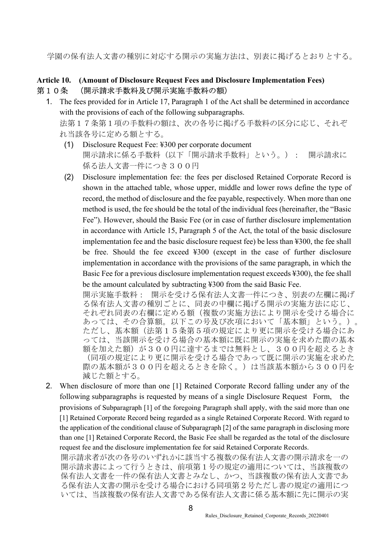学園の保有法人文書の種別に対応する開示の実施方法は、別表に掲げるとおりとする。

#### Article 10. (Amount of Disclosure Request Fees and Disclosure Implementation Fees) 第10条 (開示請求手数料及び開示実施手数料の額)

- 1. The fees provided for in Article 17, Paragraph 1 of the Act shall be determined in accordance with the provisions of each of the following subparagraphs. 法第17条第1項の手数料の額は、次の各号に掲げる手数料の区分に応じ、それぞ れ当該各号に定める額とする。
	- (1) Disclosure Request Fee: ¥300 per corporate document 開示請求に係る手数料(以下「開示請求手数料」という。): 開示請求に 係る法人文書一件につき300円
	- (2) Disclosure implementation fee: the fees per disclosed Retained Corporate Record is shown in the attached table, whose upper, middle and lower rows define the type of record, the method of disclosure and the fee payable, respectively. When more than one method is used, the fee should be the total of the individual fees (hereinafter, the "Basic Fee"). However, should the Basic Fee (or in case of further disclosure implementation in accordance with Article 15, Paragraph 5 of the Act, the total of the basic disclosure implementation fee and the basic disclosure request fee) be less than ¥300, the fee shall be free. Should the fee exceed ¥300 (except in the case of further disclosure implementation in accordance with the provisions of the same paragraph, in which the Basic Fee for a previous disclosure implementation request exceeds ¥300), the fee shall be the amount calculated by subtracting ¥300 from the said Basic Fee.

開示実施手数料: 開示を受ける保有法人文書一件につき、別表の左欄に掲げ る保有法人文書の種別ごとに、同表の中欄に掲げる開示の実施方法に応じ、 それぞれ同表の右欄に定める額(複数の実施方法により開示を受ける場合に あっては、その合算額。以下この号及び次項において「基本額」という。)。 ただし、基本額(法第15条第5項の規定により更に開示を受ける場合にあ っては、当該開示を受ける場合の基本額に既に開示の実施を求めた際の基本 額を加えた額)が300円に達するまでは無料とし、300円を超えるとき (同項の規定により更に開示を受ける場合であって既に開示の実施を求めた 際の基本額が300円を超えるときを除く。)は当該基本額から300円を 減じた額とする。

2. When disclosure of more than one [1] Retained Corporate Record falling under any of the following subparagraphs is requested by means of a single Disclosure Request Form, the provisions of Subparagraph [1] of the foregoing Paragraph shall apply, with the said more than one [1] Retained Corporate Record being regarded as a single Retained Corporate Record. With regard to the application of the conditional clause of Subparagraph [2] of the same paragraph in disclosing more than one [1] Retained Corporate Record, the Basic Fee shall be regarded as the total of the disclosure request fee and the disclosure implementation fee for said Retained Corporate Records. 開示請求者が次の各号のいずれかに該当する複数の保有法人文書の開示請求を一の

開示請求書によって行うときは、前項第1号の規定の適用については、当該複数の 保有法人文書を一件の保有法人文書とみなし、かつ、当該複数の保有法人文書であ る保有法人文書の開示を受ける場合における同項第2号ただし書の規定の適用につ いては、当該複数の保有法人文書である保有法人文書に係る基本額に先に開示の実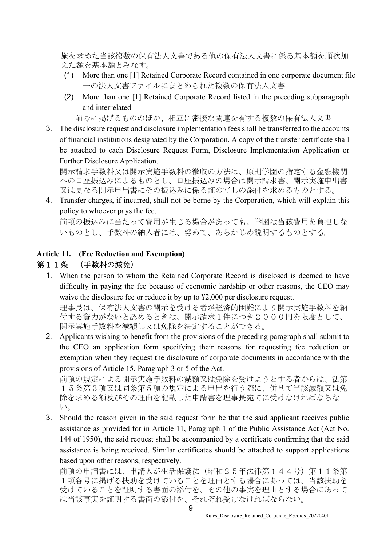施を求めた当該複数の保有法人文書である他の保有法人文書に係る基本額を順次加 えた額を基本額とみなす。

- (1) More than one [1] Retained Corporate Record contained in one corporate document file 一の法人文書ファイルにまとめられた複数の保有法人文書
- (2) More than one [1] Retained Corporate Record listed in the preceding subparagraph and interrelated

前号に掲げるもののほか、相互に密接な関連を有する複数の保有法人文書

3. The disclosure request and disclosure implementation fees shall be transferred to the accounts of financial institutions designated by the Corporation. A copy of the transfer certificate shall be attached to each Disclosure Request Form, Disclosure Implementation Application or Further Disclosure Application.

開示請求手数料又は開示実施手数料の徴収の方法は、原則学園の指定する金融機関 への口座振込みによるものとし、口座振込みの場合は開示請求書、開示実施申出書 又は更なる開示申出書にその振込みに係る証の写しの添付を求めるものとする。

4. Transfer charges, if incurred, shall not be borne by the Corporation, which will explain this policy to whoever pays the fee.

前項の振込みに当たって費用が生じる場合があっても、学園は当該費用を負担しな いものとし、手数料の納入者には、努めて、あらかじめ説明するものとする。

#### Article 11. (Fee Reduction and Exemption)

#### 第11条 (手数料の減免)

1. When the person to whom the Retained Corporate Record is disclosed is deemed to have difficulty in paying the fee because of economic hardship or other reasons, the CEO may waive the disclosure fee or reduce it by up to ¥2,000 per disclosure request.

理事長は、保有法人文書の開示を受ける者が経済的困難により開示実施手数料を納 付する資力がないと認めるときは、開示請求1件につき2000円を限度として、 開示実施手数料を減額し又は免除を決定することができる。

2. Applicants wishing to benefit from the provisions of the preceding paragraph shall submit to the CEO an application form specifying their reasons for requesting fee reduction or exemption when they request the disclosure of corporate documents in accordance with the provisions of Article 15, Paragraph 3 or 5 of the Act.

前項の規定による開示実施手数料の減額又は免除を受けようとする者からは、法第 15条第3項又は同条第5項の規定による申出を行う際に、併せて当該減額又は免 除を求める額及びその理由を記載した申請書を理事長宛てに受けなければならな い。

3. Should the reason given in the said request form be that the said applicant receives public assistance as provided for in Article 11, Paragraph 1 of the Public Assistance Act (Act No. 144 of 1950), the said request shall be accompanied by a certificate confirming that the said assistance is being received. Similar certificates should be attached to support applications based upon other reasons, respectively.

前項の申請書には、申請人が生活保護法(昭和25年法律第144号)第11条第 1項各号に掲げる扶助を受けていることを理由とする場合にあっては、当該扶助を 受けていることを証明する書面の添付を、その他の事実を理由とする場合にあって は当該事実を証明する書面の添付を、それぞれ受けなければならない。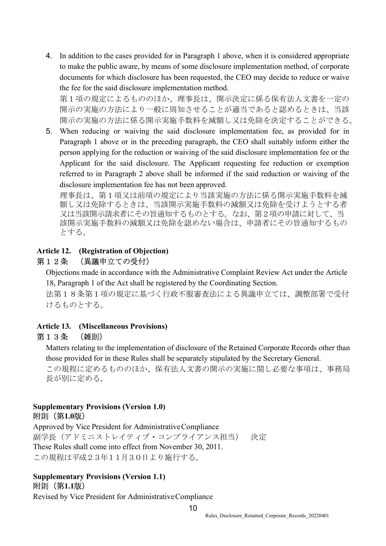4. In addition to the cases provided for in Paragraph 1 above, when it is considered appropriate to make the public aware, by means of some disclosure implementation method, of corporate documents for which disclosure has been requested, the CEO may decide to reduce or waive the fee for the said disclosure implementation method.

第1項の規定によるもののほか、理事長は、開示決定に係る保有法人文書を一定の 開示の実施の方法により一般に周知させることが適当であると認めるときは、当該 開示の実施の方法に係る開示実施手数料を減額し又は免除を決定することができる。

5. When reducing or waiving the said disclosure implementation fee, as provided for in Paragraph 1 above or in the preceding paragraph, the CEO shall suitably inform either the person applying for the reduction or waiving of the said disclosure implementation fee or the Applicant for the said disclosure. The Applicant requesting fee reduction or exemption referred to in Paragraph 2 above shall be informed if the said reduction or waiving of the disclosure implementation fee has not been approved.

理事長は、第1項又は前項の規定により当該実施の方法に係る開示実施手数料を減 額し又は免除するときは、当該開示実施手数料の減額又は免除を受けようとする者 又は当該開示請求者にその旨通知するものとする。なお、第2項の申請に対して、当 該開示実施手数料の減額又は免除を認めない場合は、申請者にその旨通知するもの とする。

#### Article 12. (Registration of Objection)

#### 第12条 (異議申立ての受付)

Objections made in accordance with the Administrative Complaint Review Act under the Article 18, Paragraph 1 of the Act shall be registered by the Coordinating Section.

法第18条第1項の規定に基づく行政不服審査法による異議申立ては、調整部署で受付 けるものとする。

#### Article 13. (Miscellaneous Provisions)

#### 第13条 (雑則)

Matters relating to the implementation of disclosure of the Retained Corporate Records other than those provided for in these Rules shall be separately stipulated by the Secretary General.

この規程に定めるもののほか、保有法人文書の開示の実施に関し必要な事項は、事務局 長が別に定める。

#### Supplementary Provisions (Version 1.0) 附則(第1.0版)

Approved by Vice President for Administrative Compliance 副学長(アドミニストレイティブ・コンプライアンス担当) 決定 These Rules shall come into effect from November 30, 2011. この規程は平成23年11月30日より施行する。

#### Supplementary Provisions (Version 1.1) 附則(第1.1版)

Revised by Vice President for Administrative Compliance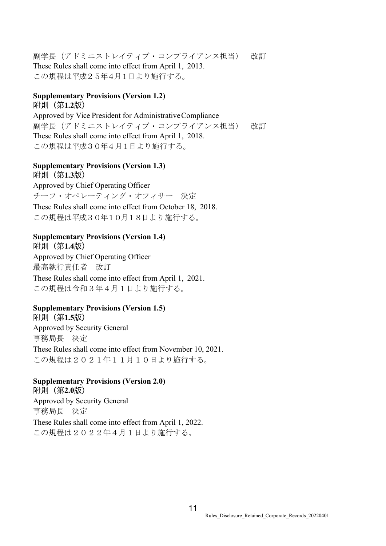副学長(アドミニストレイティブ・コンプライアンス担当) 改訂 These Rules shall come into effect from April 1, 2013. この規程は平成25年4月1日より施行する。

#### Supplementary Provisions (Version 1.2) 附則(第1.2版)

Approved by Vice President for Administrative Compliance 副学長(アドミニストレイティブ・コンプライアンス担当) 改訂 These Rules shall come into effect from April 1, 2018. この規程は平成30年4月1日より施行する。

#### Supplementary Provisions (Version 1.3) 附則(第1.3版)

Approved by Chief Operating Officer チーフ・オペレーティング・オフィサー 決定 These Rules shall come into effect from October 18, 2018. この規程は平成30年10月18日より施行する。

#### Supplementary Provisions (Version 1.4) 附則(第1.4版)

Approved by Chief Operating Officer 最高執行責任者 改訂 These Rules shall come into effect from April 1, 2021. この規程は令和3年4月1日より施行する。

#### Supplementary Provisions (Version 1.5) 附則(第1.5版)

Approved by Security General 事務局長 決定 These Rules shall come into effect from November 10, 2021. この規程は2021年11月10日より施行する。

#### Supplementary Provisions (Version 2.0) 附則(第2.0版)

Approved by Security General 事務局長 決定 These Rules shall come into effect from April 1, 2022. この規程は2022年4月1日より施行する。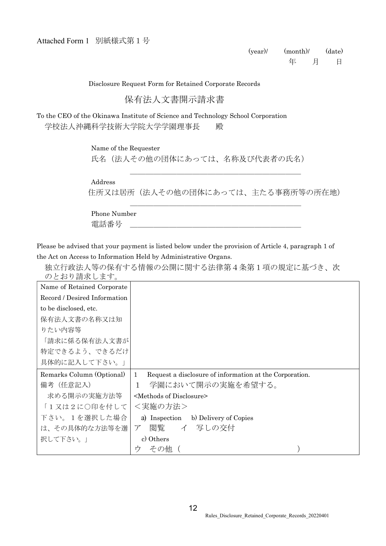Disclosure Request Form for Retained Corporate Records

#### 保有法人文書開示請求書

To the CEO of the Okinawa Institute of Science and Technology School Corporation 学校法人沖縄科学技術大学院大学学園理事長 殿

Name of the Requester

氏名(法人その他の団体にあっては、名称及び代表者の氏名)

Address

住所又は居所(法人その他の団体にあっては、主たる事務所等の所在地)

\_\_\_\_\_\_\_\_\_\_\_\_\_\_\_\_\_\_\_\_\_\_

\_\_\_\_\_\_\_\_\_\_\_\_\_\_\_\_\_\_\_\_\_\_

Phone Number 電話番号 \_\_\_\_\_\_\_\_\_\_\_\_\_\_\_\_\_\_\_\_\_\_

Please be advised that your payment is listed below under the provision of Article 4, paragraph 1 of the Act on Access to Information Held by Administrative Organs.

独立行政法人等の保有する情報の公開に関する法律第4条第1項の規定に基づき、次 のとおり請求します。

| Name of Retained Corporate   |                                                                         |
|------------------------------|-------------------------------------------------------------------------|
| Record / Desired Information |                                                                         |
| to be disclosed, etc.        |                                                                         |
| 保有法人文書の名称又は知                 |                                                                         |
| りたい内容等                       |                                                                         |
| 「請求に係る保有法人文書が                |                                                                         |
| 特定できるよう、できるだけ                |                                                                         |
| 具体的に記入して下さい。」                |                                                                         |
|                              |                                                                         |
| Remarks Column (Optional)    | Request a disclosure of information at the Corporation.<br>$\mathbf{1}$ |
| 備考(任意記入)                     | 学園において開示の実施を希望する。<br>1                                                  |
| 求める開示の実施方法等                  | <methods disclosure="" of=""></methods>                                 |
| 「1又は2に〇印を付して                 | <実施の方法>                                                                 |
| 下さい。1を選択した場合                 | a) Inspection b) Delivery of Copies                                     |
| は、その具体的な方法等を選                | 閲覧 イ 写しの交付<br>$\mathcal{T}$                                             |
| 択して下さい。                      | c) Others                                                               |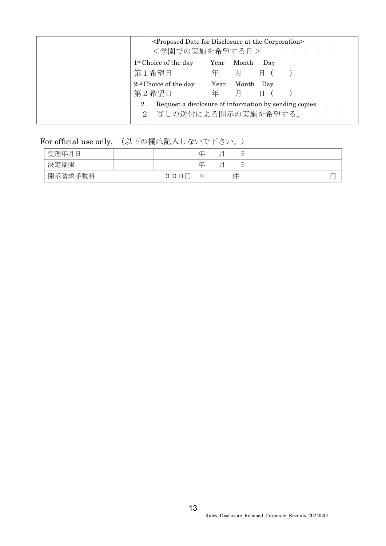|                                   |           | <proposed at="" corporation="" date="" disclosure="" for="" the=""></proposed> |
|-----------------------------------|-----------|--------------------------------------------------------------------------------|
| <学園での実施を希望する日>                    |           |                                                                                |
| 1 <sup>st</sup> Choice of the day | Year      | Month<br>Day                                                                   |
| 第1希望日                             | 年         | 月<br>日 (                                                                       |
| $2nd$ Choice of the day<br>第2希望日  | Year<br>年 | Month<br>Dav<br>月<br>Ħ                                                         |
| $\overline{2}$<br>2 <sup>1</sup>  |           | Request a disclosure of information by sending copies.<br>写しの送付による開示の実施を希望する。  |

For official use only. (以下の欄は記入しないで下さい。)

| 受理年月日   |      | 圧 | ⊣ |  |  |
|---------|------|---|---|--|--|
| 決定期限    |      | 圧 |   |  |  |
| 開示請求手数料 | 300円 |   | 件 |  |  |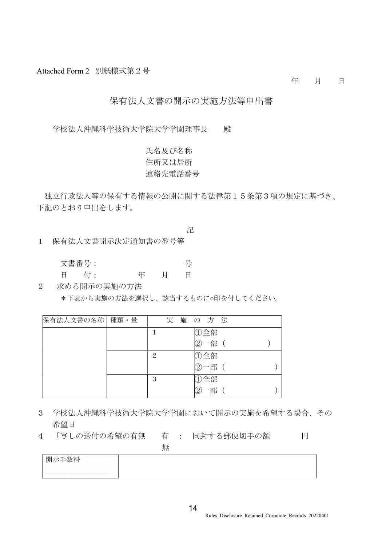Attached Form 2 別紙様式第2号

年 月 日

#### 保有法人文書の開示の実施方法等申出書

学校法人沖縄科学技術大学院大学学園理事長 殿

氏名及び名称 住所又は居所 連絡先電話番号

独立行政法人等の保有する情報の公開に関する法律第15条第3項の規定に基づき、 下記のとおり申出をします。

記

1 保有法人文書開示決定通知書の番号等

| 文書番号: |       | 一号 |
|-------|-------|----|
| 日 付:  | 年 月 日 |    |

2 求める開示の実施の方法

\*下表から実施の方法を選択し、該当するものに○印を付してください。

| 保有法人文書の名称 | 種類・量 | 実 | 施 の 方 法             |  |
|-----------|------|---|---------------------|--|
|           |      |   | ①全部                 |  |
|           |      |   | ②一部                 |  |
|           |      | 2 | ①全部                 |  |
|           |      |   | ②一部 (               |  |
|           |      | 3 | ①全部                 |  |
|           |      |   | 一部<br>$\circled{2}$ |  |

- 3 学校法人沖縄科学技術大学院大学学園において開示の実施を希望する場合、その 希望日
- 4 「写しの送付の希望の有無 有 : 同封する郵便切手の額 円

| 開示手数料 |  |
|-------|--|
|       |  |
|       |  |

無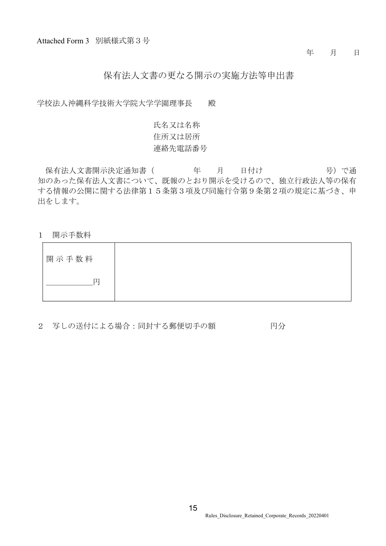#### 年 月 日

#### 保有法人文書の更なる開示の実施方法等申出書

学校法人沖縄科学技術大学院大学学園理事長 殿

## 氏名又は名称 住所又は居所 連絡先電話番号

保有法人文書開示決定通知書 ( 年 月 日付け ) 号)で通 知のあった保有法人文書について、既報のとおり開示を受けるので、独立行政法人等の保有 する情報の公開に関する法律第15条第3項及び同施行令第9条第2項の規定に基づき、申 出をします。

1 開示手数料

| 開示手数料 |  |
|-------|--|
|       |  |

2 写しの送付による場合:同封する郵便切手の額 アンスタンの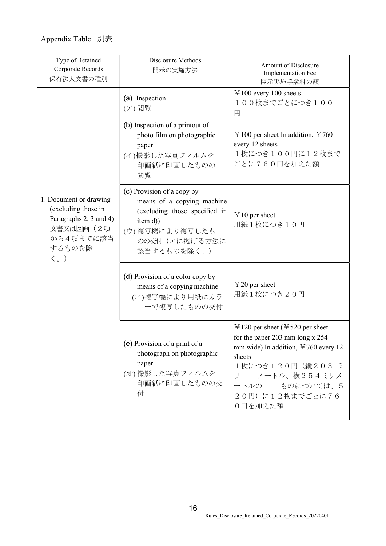| Type of Retained<br>Corporate Records<br>保有法人文書の種別                                                                                   | Disclosure Methods<br>開示の実施方法                                                                                                                           | Amount of Disclosure<br><b>Implementation Fee</b><br>開示実施手数料の額                                                                                                                                                                                            |
|--------------------------------------------------------------------------------------------------------------------------------------|---------------------------------------------------------------------------------------------------------------------------------------------------------|-----------------------------------------------------------------------------------------------------------------------------------------------------------------------------------------------------------------------------------------------------------|
|                                                                                                                                      | (a) Inspection<br>(ア)閲覧                                                                                                                                 | $\text{\yen}100$ every 100 sheets<br>100枚までごとにつき100<br>円                                                                                                                                                                                                  |
|                                                                                                                                      | (b) Inspection of a printout of<br>photo film on photographic<br>paper<br>(イ)撮影した写真フィルムを<br>印画紙に印画したものの<br>閲覧                                           | $\text{\yen}100$ per sheet In addition, $\text{\yen}760$<br>every 12 sheets<br>1枚につき100円に12枚まで<br>ごとに760円を加えた額                                                                                                                                            |
| 1. Document or drawing<br>(excluding those in<br>Paragraphs 2, 3 and 4)<br>文書又は図画 (2項<br>から4項までに該当<br>するものを除<br>$\langle \, \rangle$ | (c) Provision of a copy by<br>means of a copying machine<br>(excluding those specified in<br>item d))<br>(ウ)複写機により複写したも<br>のの交付(エに掲げる方法に<br>該当するものを除く。) | $\text{ }$ ¥ 10 per sheet<br>用紙1枚につき10円                                                                                                                                                                                                                   |
|                                                                                                                                      | (d) Provision of a color copy by<br>means of a copying machine<br>(エ)複写機により用紙にカラ<br>ーで複写したものの交付                                                         | $\text{\yen}20$ per sheet<br>用紙1枚につき20円                                                                                                                                                                                                                   |
|                                                                                                                                      | (e) Provision of a print of a<br>photograph on photographic<br>paper<br>(オ)撮影した写真フィルムを<br>印画紙に印画したものの交<br>付                                             | $\text{Y}$ 120 per sheet ( $\text{Y}$ 520 per sheet<br>for the paper $203 \text{ mm}$ long x $254$<br>mm wide) In addition, $\text{\yen}760$ every 12<br>sheets<br>1枚につき120円(縦203 ミ<br>メートル、横254ミリメ<br>IJ<br>ートルの ものについては、5<br>20円)に12枚までごとに76<br>0円を加えた額 |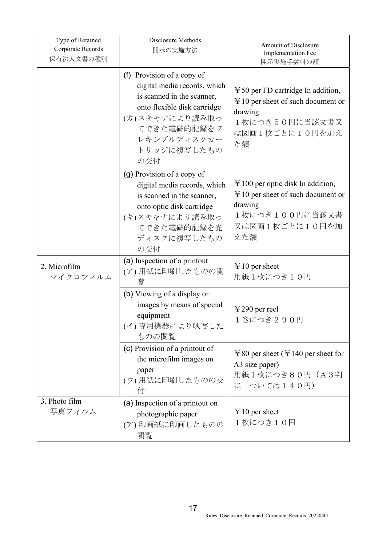| Type of Retained<br>Corporate Records<br>保有法人文書の種別 | Disclosure Methods<br>開示の実施方法                                                                                                                                                                  | Amount of Disclosure<br>Implementation Fee<br>開示実施手数料の額                                                                                             |
|----------------------------------------------------|------------------------------------------------------------------------------------------------------------------------------------------------------------------------------------------------|-----------------------------------------------------------------------------------------------------------------------------------------------------|
|                                                    | (f) Provision of a copy of<br>digital media records, which<br>is scanned in the scanner,<br>onto flexible disk cartridge<br>(カ)スキャナにより読み取っ<br>てできた電磁的記録をフ<br>レキシブルディスクカー<br>トリッジに複写したもの<br>の交付 | $\text{\yen}50$ per FD cartridge In addition,<br>$\text{\yen}10$ per sheet of such document or<br>drawing<br>1枚につき50円に当該文書又<br>は図画1枚ごとに10円を加え<br>た額 |
|                                                    | (g) Provision of a copy of<br>digital media records, which<br>is scanned in the scanner,<br>onto optic disk cartridge<br>(キ)スキャナにより読み取っ<br>てできた電磁的記録を光<br>ディスクに複写したもの<br>の交付                   | $\text{\yen}100$ per optic disk In addition,<br>$\text{\yen}10$ per sheet of such document or<br>drawing<br>1枚につき100円に当該文書<br>又は図画1枚ごとに10円を加<br>えた額 |
| 2. Microfilm<br>マイクロフィルム                           | (a) Inspection of a printout<br>(ア)用紙に印刷したものの閲<br>覧                                                                                                                                            | $\text{ }$ ¥ 10 per sheet<br>用紙1枚につき10円                                                                                                             |
|                                                    | (b) Viewing of a display or<br>images by means of special<br>equipment<br>(イ)専用機器により映写した<br>ものの閲覧                                                                                              | $\text{\yen}290$ per reel<br>1巻につき290円                                                                                                              |
|                                                    | (c) Provision of a printout of<br>the microfilm images on<br>paper<br>(ウ)用紙に印刷したものの交<br>付                                                                                                      | $\text{\yen}80$ per sheet ( $\text{\yen}140$ per sheet for<br>A3 size paper)<br>用紙1枚につき80円(A3判<br>に ついては140円)                                       |
| 3. Photo film<br>写真フィルム                            | (a) Inspection of a printout on<br>photographic paper<br>(ア)印画紙に印画したものの<br>閲覧                                                                                                                  | $\text{ }$ ¥ 10 per sheet<br>1枚につき10円                                                                                                               |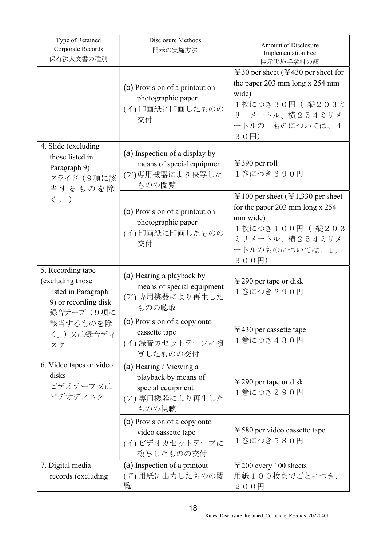| Type of Retained<br>Corporate Records<br>保有法人文書の種別                                                  | Disclosure Methods<br>開示の実施方法                                                                   | Amount of Disclosure<br>Implementation Fee<br>開示実施手数料の額                                                                                                                                 |
|-----------------------------------------------------------------------------------------------------|-------------------------------------------------------------------------------------------------|-----------------------------------------------------------------------------------------------------------------------------------------------------------------------------------------|
|                                                                                                     | (b) Provision of a printout on<br>photographic paper<br>(イ)印画紙に印画したものの<br>交付                    | $\text{\yen}30$ per sheet ( $\text{\yen}430$ per sheet for<br>the paper $203 \text{ mm}$ long x $254 \text{ mm}$<br>wide)<br>1枚につき30円 (縦203ミ<br>リ メートル、横254ミリメ<br>ートルのものについては、4<br>30円) |
| 4. Slide (excluding<br>those listed in<br>Paragraph 9)<br>スライド (9項に該<br>当するものを除                     | (a) Inspection of a display by<br>means of special equipment<br>(ア)専用機器により映写した<br>ものの閲覧         | $\text{\yen}390$ per roll<br>1巻につき390円                                                                                                                                                  |
| $\langle \begin{array}{c} \circ \\ \circ \end{array} \rangle$                                       | (b) Provision of a printout on<br>photographic paper<br>(イ)印画紙に印画したものの<br>交付                    | $\text{\yen}100$ per sheet ( $\text{\yen}1,330$ per sheet<br>for the paper 203 mm long $x$ 254<br>mm wide)<br>1枚につき100円 (縦203<br>ミリメートル、横254ミリメ<br>ートルのものについては、1,<br>300円)              |
| 5. Recording tape<br>(excluding those)<br>listed in Paragraph<br>9) or recording disk<br>録音テープ (9項に | (a) Hearing a playback by<br>means of special equipment<br>(ア)専用機器により再生した<br>ものの聴取              | $\text{\yen}290$ per tape or disk<br>1巻につき290円                                                                                                                                          |
| 該当するものを除<br>く。)又は録音ディ<br>スク                                                                         | (b) Provision of a copy onto<br>cassette tape<br>(イ)録音カセットテープに複<br>写したものの交付                     | $\text{\yen}430$ per cassette tape<br>1巻につき430円                                                                                                                                         |
| 6. Video tapes or video<br>disks<br>ビデオテープ又は<br>ビデオディスク                                             | (a) Hearing / Viewing a<br>playback by means of<br>special equipment<br>(ア)専用機器により再生した<br>ものの視聴 | $\text{\yen}290$ per tape or disk<br>1巻につき290円                                                                                                                                          |
|                                                                                                     | (b) Provision of a copy onto<br>video cassette tape<br>(イ) ビデオカセットテープに<br>複写したものの交付             | $\text{\yen}580$ per video cassette tape<br>1巻につき580円                                                                                                                                   |
| 7. Digital media<br>records (excluding                                                              | (a) Inspection of a printout<br>(ア) 用紙に出力したものの閲<br>覧                                            | $\text{\yen}200$ every 100 sheets<br>用紙100枚までごとにつき、<br>200円                                                                                                                             |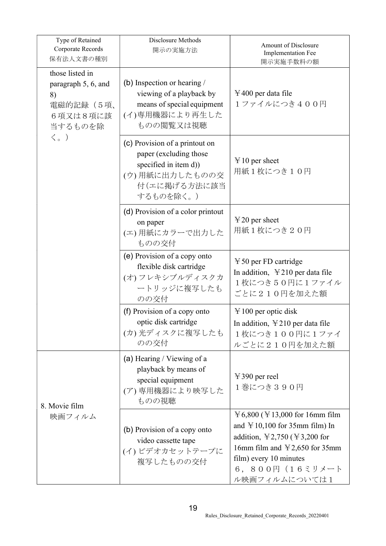| Type of Retained<br>Corporate Records<br>保有法人文書の種別                               | Disclosure Methods<br>開示の実施方法                                                                                                     | Amount of Disclosure<br>Implementation Fee<br>開示実施手数料の額                                                                                                                                                                                                                  |
|----------------------------------------------------------------------------------|-----------------------------------------------------------------------------------------------------------------------------------|--------------------------------------------------------------------------------------------------------------------------------------------------------------------------------------------------------------------------------------------------------------------------|
| those listed in<br>paragraph 5, 6, and<br>8)<br>電磁的記録(5項、<br>6項又は8項に該<br>当するものを除 | (b) Inspection or hearing $\ell$<br>viewing of a playback by<br>means of special equipment<br>(イ)専用機器により再生した<br>ものの閲覧又は視聴         | $\text{\yen}400$ per data file<br>1ファイルにつき400円                                                                                                                                                                                                                           |
| $\langle \, \rangle$                                                             | (c) Provision of a printout on<br>paper (excluding those)<br>specified in item d))<br>(ウ)用紙に出力したものの交<br>付(エに掲げる方法に該当<br>するものを除く。) | $\text{ }$ ¥ 10 per sheet<br>用紙1枚につき10円                                                                                                                                                                                                                                  |
|                                                                                  | (d) Provision of a color printout<br>on paper<br>(エ)用紙にカラーで出力した<br>ものの交付                                                          | $\text{\yen}20$ per sheet<br>用紙1枚につき20円                                                                                                                                                                                                                                  |
|                                                                                  | (e) Provision of a copy onto<br>flexible disk cartridge<br>(オ) フレキシブルディスクカ<br>ートリッジに複写したも<br>のの交付                                 | $\text{\yen}50$ per FD cartridge<br>In addition, $\angle 210$ per data file<br>1枚につき50円に1ファイル<br>ごとに210円を加えた額                                                                                                                                                            |
|                                                                                  | (f) Provision of a copy onto<br>optic disk cartridge<br>(カ)光ディスクに複写したも<br>のの交付                                                    | $\text{\yen}100$ per optic disk<br>In addition, $\yen$ 210 per data file<br>1枚につき100円に1ファイ<br>ルごとに210円を加えた額                                                                                                                                                              |
| 8. Movie film                                                                    | (a) Hearing / Viewing of a<br>playback by means of<br>special equipment<br>(ア)専用機器により映写した<br>ものの視聴                                | $\text{\yen}390$ per reel<br>1巻につき390円                                                                                                                                                                                                                                   |
| 映画フィルム                                                                           | (b) Provision of a copy onto<br>video cassette tape<br>(イ) ビデオカセットテープに<br>複写したものの交付                                               | $\text{\yen}6,800$ ( $\text{\yen}13,000$ for 16mm film<br>and $\text{\yen}10,100$ for 35mm film) In<br>addition, $\text{\yen}2,750$ ( $\text{\yen}3,200$ for<br>16mm film and $\text{\yen}2,650$ for 35mm<br>film) every 10 minutes<br>6, 800円 (16ミリメート<br>ル映画フィルムについては1 |